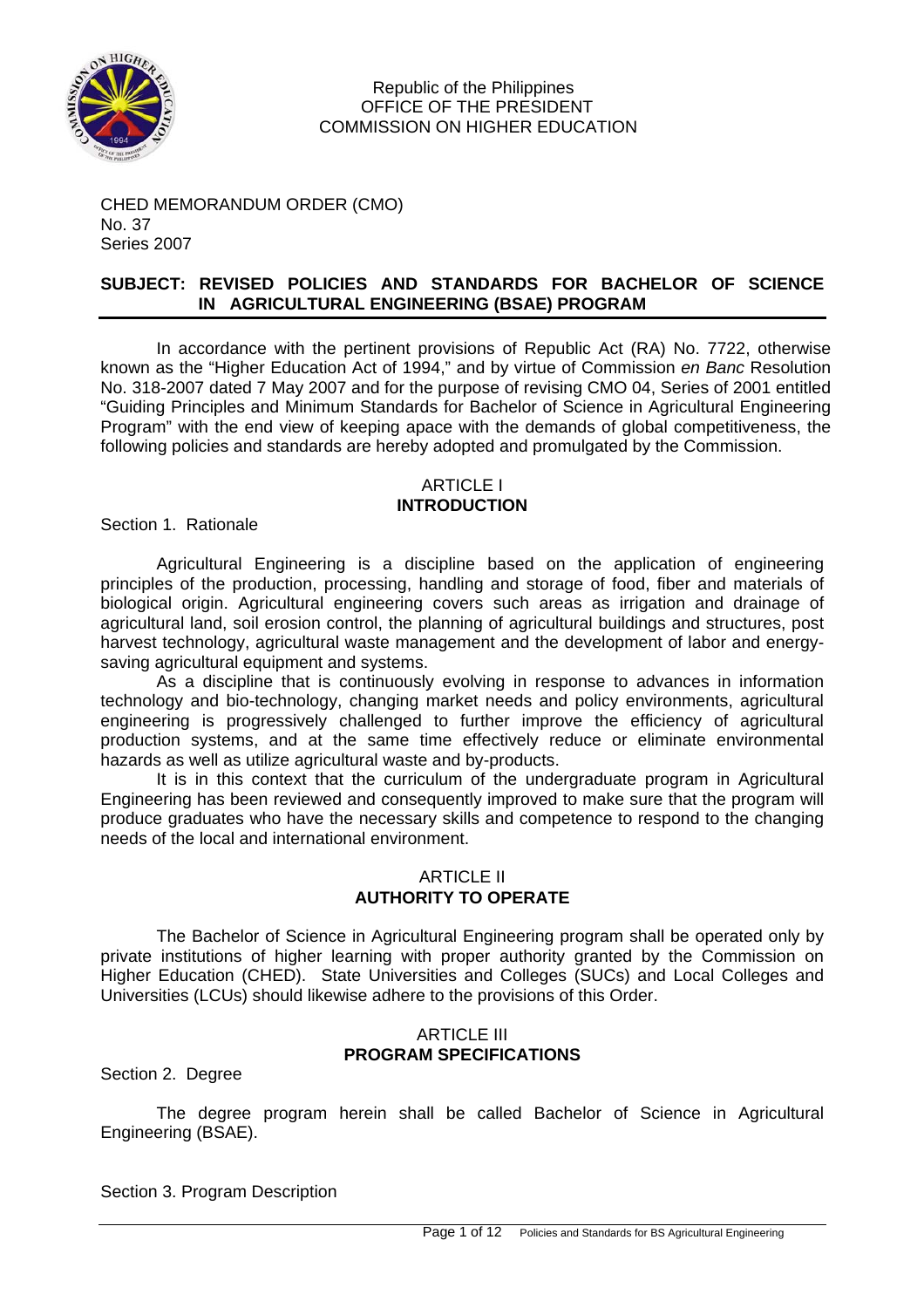

CHED MEMORANDUM ORDER (CMO) No. 37 Series 2007

## **SUBJECT: REVISED POLICIES AND STANDARDS FOR BACHELOR OF SCIENCE IN AGRICULTURAL ENGINEERING (BSAE) PROGRAM**

In accordance with the pertinent provisions of Republic Act (RA) No. 7722, otherwise known as the "Higher Education Act of 1994," and by virtue of Commission *en Banc* Resolution No. 318-2007 dated 7 May 2007 and for the purpose of revising CMO 04, Series of 2001 entitled "Guiding Principles and Minimum Standards for Bachelor of Science in Agricultural Engineering Program" with the end view of keeping apace with the demands of global competitiveness, the following policies and standards are hereby adopted and promulgated by the Commission.

## ARTICLE I **INTRODUCTION**

Section 1. Rationale

Agricultural Engineering is a discipline based on the application of engineering principles of the production, processing, handling and storage of food, fiber and materials of biological origin. Agricultural engineering covers such areas as irrigation and drainage of agricultural land, soil erosion control, the planning of agricultural buildings and structures, post harvest technology, agricultural waste management and the development of labor and energysaving agricultural equipment and systems.

As a discipline that is continuously evolving in response to advances in information technology and bio-technology, changing market needs and policy environments, agricultural engineering is progressively challenged to further improve the efficiency of agricultural production systems, and at the same time effectively reduce or eliminate environmental hazards as well as utilize agricultural waste and by-products.

It is in this context that the curriculum of the undergraduate program in Agricultural Engineering has been reviewed and consequently improved to make sure that the program will produce graduates who have the necessary skills and competence to respond to the changing needs of the local and international environment.

## ARTICLE II **AUTHORITY TO OPERATE**

The Bachelor of Science in Agricultural Engineering program shall be operated only by private institutions of higher learning with proper authority granted by the Commission on Higher Education (CHED). State Universities and Colleges (SUCs) and Local Colleges and Universities (LCUs) should likewise adhere to the provisions of this Order.

## ARTICI F III **PROGRAM SPECIFICATIONS**

Section 2. Degree

The degree program herein shall be called Bachelor of Science in Agricultural Engineering (BSAE).

Section 3. Program Description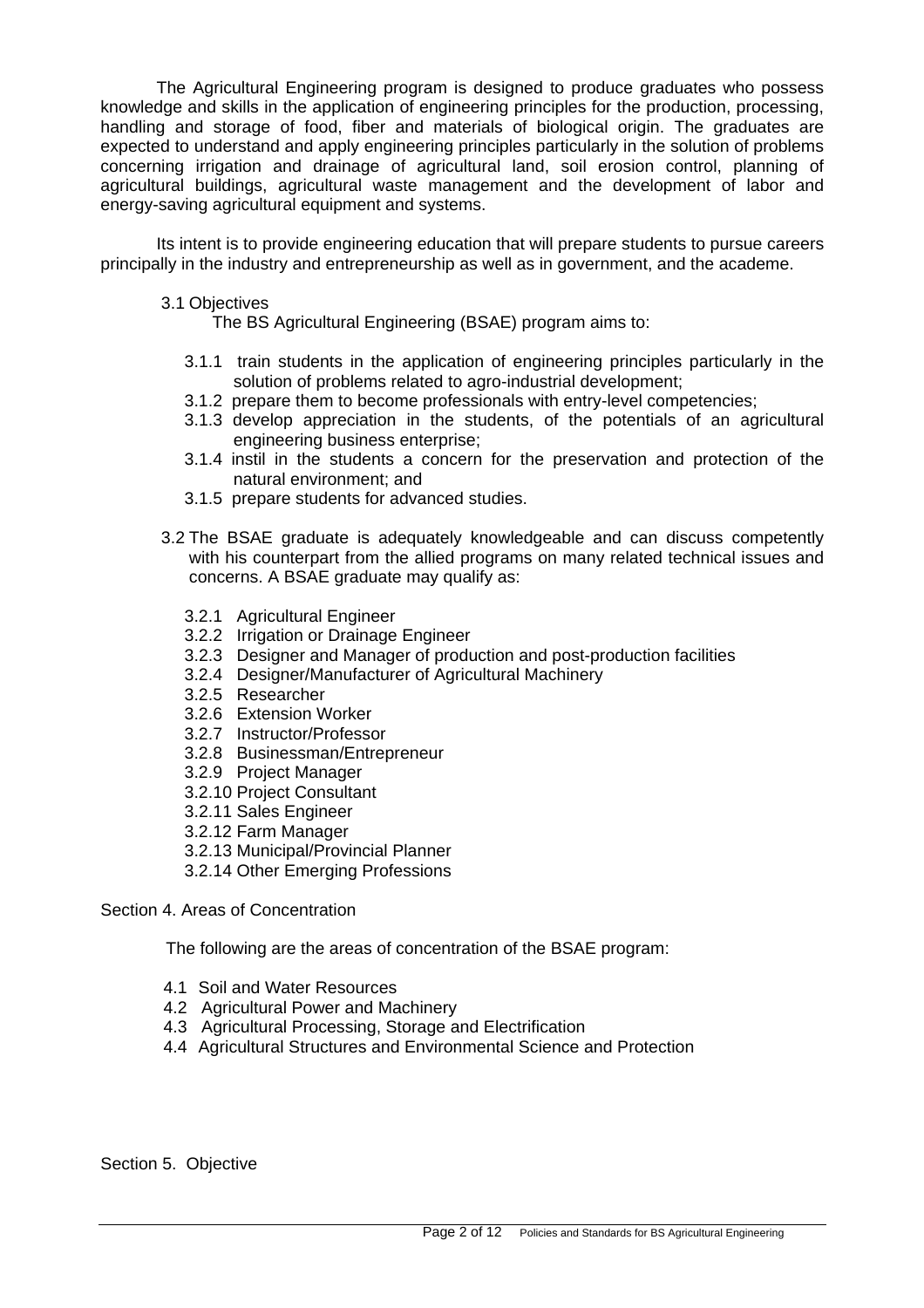The Agricultural Engineering program is designed to produce graduates who possess knowledge and skills in the application of engineering principles for the production, processing, handling and storage of food, fiber and materials of biological origin. The graduates are expected to understand and apply engineering principles particularly in the solution of problems concerning irrigation and drainage of agricultural land, soil erosion control, planning of agricultural buildings, agricultural waste management and the development of labor and energy-saving agricultural equipment and systems.

Its intent is to provide engineering education that will prepare students to pursue careers principally in the industry and entrepreneurship as well as in government, and the academe.

### 3.1 Objectives

The BS Agricultural Engineering (BSAE) program aims to:

- 3.1.1 train students in the application of engineering principles particularly in the solution of problems related to agro-industrial development;
- 3.1.2 prepare them to become professionals with entry-level competencies;
- 3.1.3 develop appreciation in the students, of the potentials of an agricultural engineering business enterprise;
- 3.1.4 instil in the students a concern for the preservation and protection of the natural environment; and
- 3.1.5 prepare students for advanced studies.
- 3.2 The BSAE graduate is adequately knowledgeable and can discuss competently with his counterpart from the allied programs on many related technical issues and concerns. A BSAE graduate may qualify as:
	- 3.2.1 Agricultural Engineer
	- 3.2.2 Irrigation or Drainage Engineer
	- 3.2.3 Designer and Manager of production and post-production facilities
	- 3.2.4 Designer/Manufacturer of Agricultural Machinery
	- 3.2.5 Researcher
	- 3.2.6 Extension Worker
	- 3.2.7 Instructor/Professor
	- 3.2.8 Businessman/Entrepreneur
	- 3.2.9 Project Manager
	- 3.2.10 Project Consultant
	- 3.2.11 Sales Engineer
	- 3.2.12 Farm Manager
	- 3.2.13 Municipal/Provincial Planner
	- 3.2.14 Other Emerging Professions

Section 4. Areas of Concentration

The following are the areas of concentration of the BSAE program:

- 4.1 Soil and Water Resources
- 4.2 Agricultural Power and Machinery
- 4.3 Agricultural Processing, Storage and Electrification
- 4.4 Agricultural Structures and Environmental Science and Protection

Section 5. Objective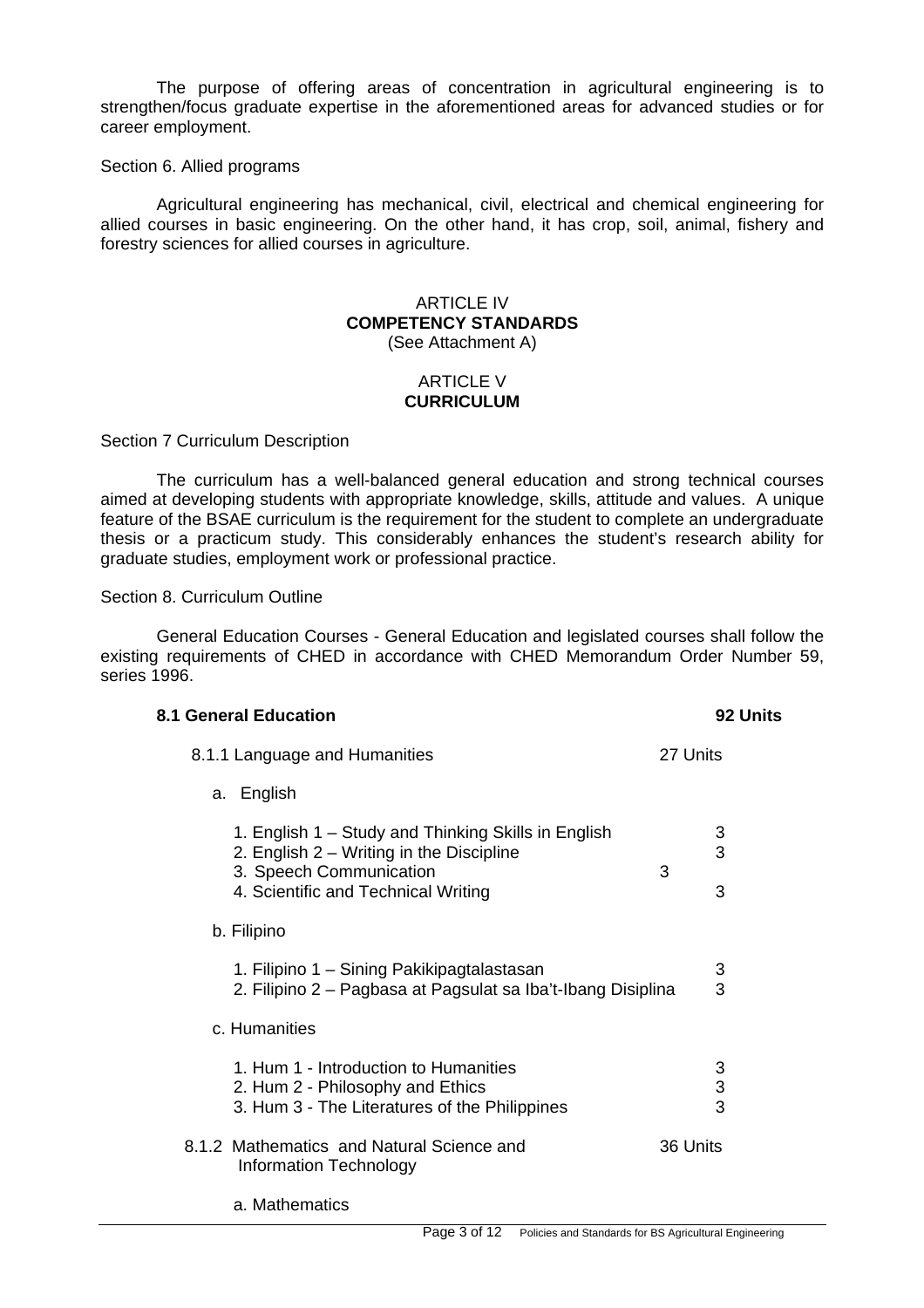The purpose of offering areas of concentration in agricultural engineering is to strengthen/focus graduate expertise in the aforementioned areas for advanced studies or for career employment.

#### Section 6. Allied programs

Agricultural engineering has mechanical, civil, electrical and chemical engineering for allied courses in basic engineering. On the other hand, it has crop, soil, animal, fishery and forestry sciences for allied courses in agriculture.

## ARTICLE IV **COMPETENCY STANDARDS**  (See Attachment A)

## ARTICLE V **CURRICULUM**

#### Section 7 Curriculum Description

The curriculum has a well-balanced general education and strong technical courses aimed at developing students with appropriate knowledge, skills, attitude and values. A unique feature of the BSAE curriculum is the requirement for the student to complete an undergraduate thesis or a practicum study. This considerably enhances the student's research ability for graduate studies, employment work or professional practice.

Section 8. Curriculum Outline

General Education Courses - General Education and legislated courses shall follow the existing requirements of CHED in accordance with CHED Memorandum Order Number 59, series 1996.

| <b>8.1 General Education</b>                                                                                                                                      | 92 Units         |
|-------------------------------------------------------------------------------------------------------------------------------------------------------------------|------------------|
| 8.1.1 Language and Humanities                                                                                                                                     | 27 Units         |
| a. English                                                                                                                                                        |                  |
| 1. English 1 – Study and Thinking Skills in English<br>2. English 2 – Writing in the Discipline<br>3. Speech Communication<br>4. Scientific and Technical Writing | 3<br>3<br>3<br>3 |
| b. Filipino                                                                                                                                                       |                  |
| 1. Filipino 1 – Sining Pakikipagtalastasan<br>2. Filipino 2 – Pagbasa at Pagsulat sa Iba't-Ibang Disiplina                                                        | 3<br>3           |
| c. Humanities                                                                                                                                                     |                  |
| 1. Hum 1 - Introduction to Humanities<br>2. Hum 2 - Philosophy and Ethics<br>3. Hum 3 - The Literatures of the Philippines                                        | 3<br>3<br>3      |
| 8.1.2 Mathematics and Natural Science and<br>Information Technology                                                                                               | 36 Units         |

a. Mathematics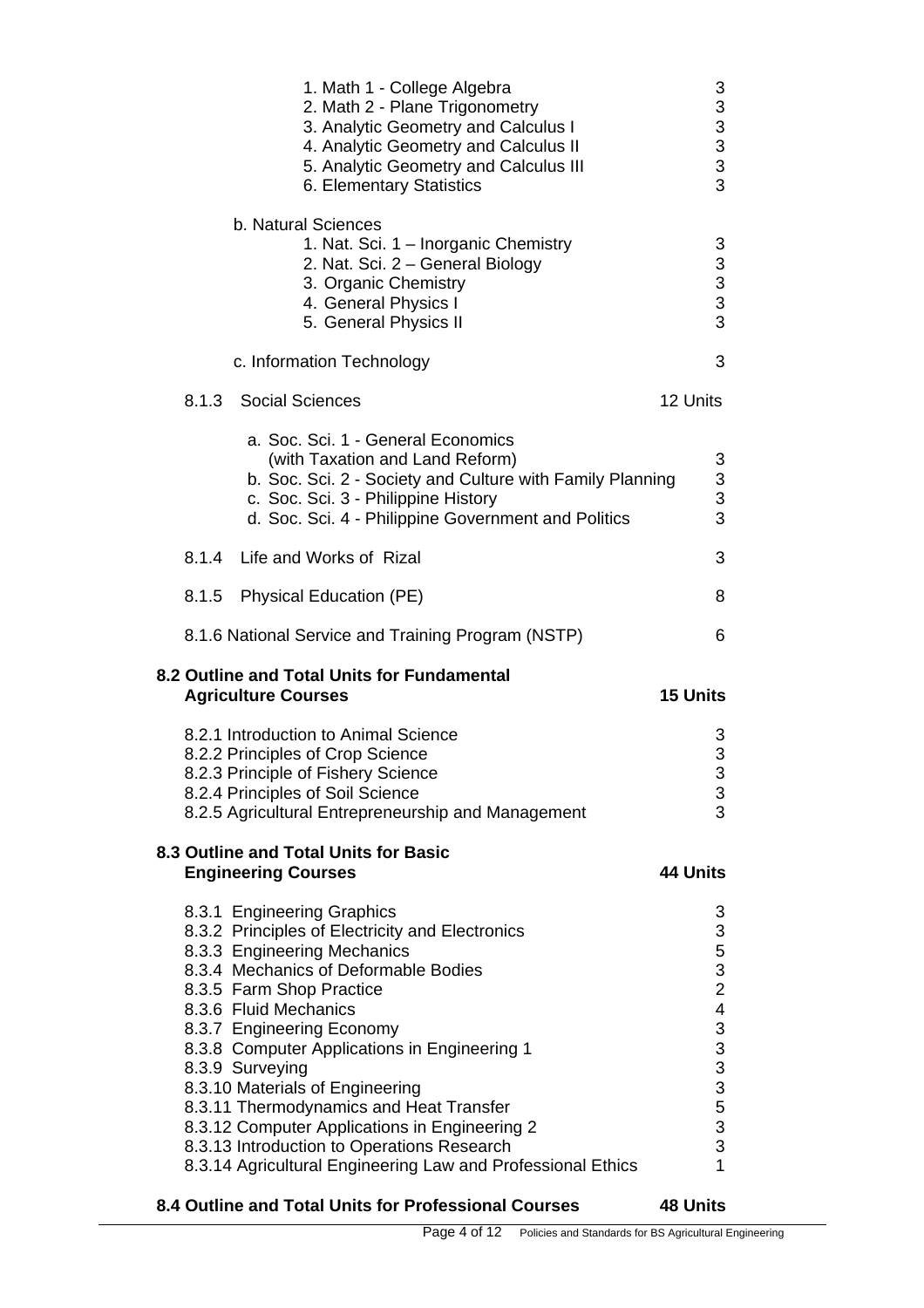|       | 1. Math 1 - College Algebra<br>2. Math 2 - Plane Trigonometry<br>3. Analytic Geometry and Calculus I<br>4. Analytic Geometry and Calculus II<br>5. Analytic Geometry and Calculus III<br>6. Elementary Statistics                                                                                                                                                                                                                                                                                                                                     | 3<br>3<br>$\overline{3}$<br>3<br>3<br>3                                                                                                        |
|-------|-------------------------------------------------------------------------------------------------------------------------------------------------------------------------------------------------------------------------------------------------------------------------------------------------------------------------------------------------------------------------------------------------------------------------------------------------------------------------------------------------------------------------------------------------------|------------------------------------------------------------------------------------------------------------------------------------------------|
|       | b. Natural Sciences<br>1. Nat. Sci. 1 - Inorganic Chemistry<br>2. Nat. Sci. 2 - General Biology<br>3. Organic Chemistry<br>4. General Physics I<br>5. General Physics II                                                                                                                                                                                                                                                                                                                                                                              | 3<br>3<br>$\frac{3}{3}$<br>3                                                                                                                   |
|       | c. Information Technology                                                                                                                                                                                                                                                                                                                                                                                                                                                                                                                             | 3                                                                                                                                              |
|       | 8.1.3 Social Sciences                                                                                                                                                                                                                                                                                                                                                                                                                                                                                                                                 | 12 Units                                                                                                                                       |
|       | a. Soc. Sci. 1 - General Economics<br>(with Taxation and Land Reform)<br>b. Soc. Sci. 2 - Society and Culture with Family Planning<br>c. Soc. Sci. 3 - Philippine History<br>d. Soc. Sci. 4 - Philippine Government and Politics                                                                                                                                                                                                                                                                                                                      | 3<br>3<br>3<br>3                                                                                                                               |
| 8.1.4 | Life and Works of Rizal                                                                                                                                                                                                                                                                                                                                                                                                                                                                                                                               | 3                                                                                                                                              |
| 8.1.5 | <b>Physical Education (PE)</b>                                                                                                                                                                                                                                                                                                                                                                                                                                                                                                                        | 8                                                                                                                                              |
|       | 8.1.6 National Service and Training Program (NSTP)                                                                                                                                                                                                                                                                                                                                                                                                                                                                                                    | 6                                                                                                                                              |
|       | 8.2 Outline and Total Units for Fundamental<br><b>Agriculture Courses</b>                                                                                                                                                                                                                                                                                                                                                                                                                                                                             | <b>15 Units</b>                                                                                                                                |
|       | 8.2.1 Introduction to Animal Science<br>8.2.2 Principles of Crop Science<br>8.2.3 Principle of Fishery Science<br>8.2.4 Principles of Soil Science<br>8.2.5 Agricultural Entrepreneurship and Management                                                                                                                                                                                                                                                                                                                                              | 3<br>3<br>3<br>3<br>3                                                                                                                          |
|       | 8.3 Outline and Total Units for Basic<br><b>Engineering Courses</b>                                                                                                                                                                                                                                                                                                                                                                                                                                                                                   | 44 Units                                                                                                                                       |
|       | 8.3.1 Engineering Graphics<br>8.3.2 Principles of Electricity and Electronics<br>8.3.3 Engineering Mechanics<br>8.3.4 Mechanics of Deformable Bodies<br>8.3.5 Farm Shop Practice<br>8.3.6 Fluid Mechanics<br>8.3.7 Engineering Economy<br>8.3.8 Computer Applications in Engineering 1<br>8.3.9 Surveying<br>8.3.10 Materials of Engineering<br>8.3.11 Thermodynamics and Heat Transfer<br>8.3.12 Computer Applications in Engineering 2<br>8.3.13 Introduction to Operations Research<br>8.3.14 Agricultural Engineering Law and Professional Ethics | 3<br>3<br>5<br>3<br>$\overline{c}$<br>$\overline{4}$<br>$\mathbf{3}$<br>$\begin{array}{c}\n3 \\ 3 \\ 5 \\ 5\n\end{array}$<br>3<br>$\mathbf{1}$ |

## **8.4 Outline and Total Units for Professional Courses 48 Units**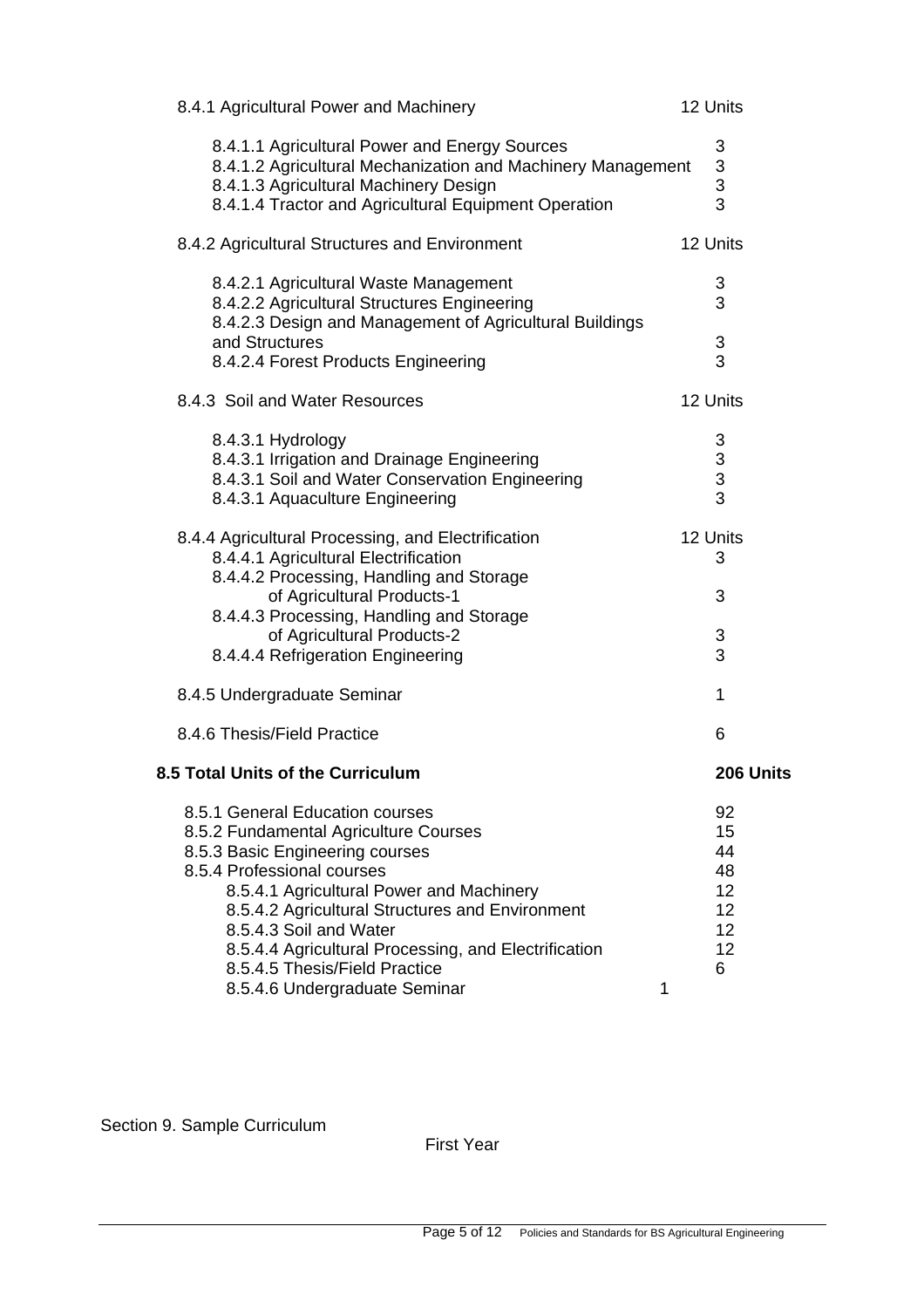| 8.4.1 Agricultural Power and Machinery                                                                                                                                                                                                                                                                                                                      | 12 Units                                          |
|-------------------------------------------------------------------------------------------------------------------------------------------------------------------------------------------------------------------------------------------------------------------------------------------------------------------------------------------------------------|---------------------------------------------------|
| 8.4.1.1 Agricultural Power and Energy Sources<br>8.4.1.2 Agricultural Mechanization and Machinery Management<br>8.4.1.3 Agricultural Machinery Design<br>8.4.1.4 Tractor and Agricultural Equipment Operation                                                                                                                                               | 3<br>3<br>3<br>3                                  |
| 8.4.2 Agricultural Structures and Environment                                                                                                                                                                                                                                                                                                               | 12 Units                                          |
| 8.4.2.1 Agricultural Waste Management<br>8.4.2.2 Agricultural Structures Engineering<br>8.4.2.3 Design and Management of Agricultural Buildings<br>and Structures                                                                                                                                                                                           | 3<br>3<br>3                                       |
| 8.4.2.4 Forest Products Engineering                                                                                                                                                                                                                                                                                                                         | 3                                                 |
| 8.4.3 Soil and Water Resources                                                                                                                                                                                                                                                                                                                              | 12 Units                                          |
| 8.4.3.1 Hydrology<br>8.4.3.1 Irrigation and Drainage Engineering<br>8.4.3.1 Soil and Water Conservation Engineering<br>8.4.3.1 Aquaculture Engineering                                                                                                                                                                                                      | 3<br>$\begin{array}{c} 3 \\ 3 \end{array}$        |
| 8.4.4 Agricultural Processing, and Electrification<br>8.4.4.1 Agricultural Electrification<br>8.4.4.2 Processing, Handling and Storage<br>of Agricultural Products-1<br>8.4.4.3 Processing, Handling and Storage<br>of Agricultural Products-2<br>8.4.4.4 Refrigeration Engineering                                                                         | 12 Units<br>3<br>3<br>3<br>3                      |
| 8.4.5 Undergraduate Seminar                                                                                                                                                                                                                                                                                                                                 | 1                                                 |
| 8.4.6 Thesis/Field Practice                                                                                                                                                                                                                                                                                                                                 | 6                                                 |
| 8.5 Total Units of the Curriculum                                                                                                                                                                                                                                                                                                                           | 206 Units                                         |
| 8.5.1 General Education courses<br>8.5.2 Fundamental Agriculture Courses<br>8.5.3 Basic Engineering courses<br>8.5.4 Professional courses<br>8.5.4.1 Agricultural Power and Machinery<br>8.5.4.2 Agricultural Structures and Environment<br>8.5.4.3 Soil and Water<br>8.5.4.4 Agricultural Processing, and Electrification<br>8.5.4.5 Thesis/Field Practice | 92<br>15<br>44<br>48<br>12<br>12<br>12<br>12<br>6 |
| 8.5.4.6 Undergraduate Seminar<br>1                                                                                                                                                                                                                                                                                                                          |                                                   |

Section 9. Sample Curriculum

First Year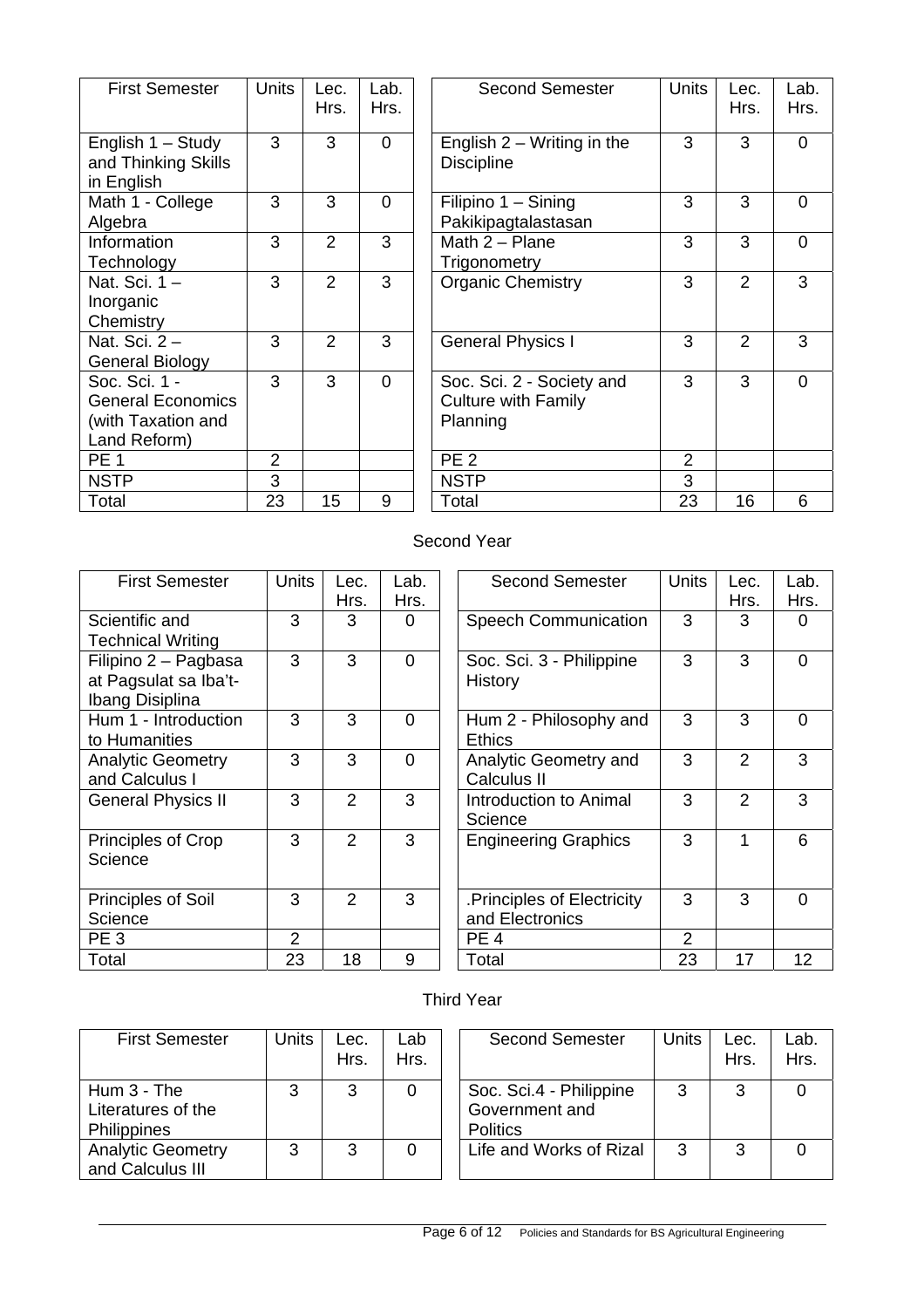| <b>Units</b>   | Lec.<br>Hrs.  | Lab.<br>Hrs. | <b>Second Semester</b><br>Unit                                      |
|----------------|---------------|--------------|---------------------------------------------------------------------|
| 3              | 3             | $\Omega$     | English $2 - W$ riting in the<br><b>Discipline</b>                  |
| 3              | 3             | 0            | Filipino 1 - Sining<br>Pakikipagtalastasan                          |
| 3              | 2             | 3            | Math $2 -$ Plane<br>Trigonometry                                    |
| 3              | 2             | 3            | <b>Organic Chemistry</b>                                            |
| 3              | $\mathcal{P}$ | 3            | <b>General Physics I</b>                                            |
| 3              | 3             | $\Omega$     | Soc. Sci. 2 - Society and<br><b>Culture with Family</b><br>Planning |
| $\overline{2}$ |               |              | PE <sub>2</sub>                                                     |
| 3              |               |              | <b>NSTP</b>                                                         |
| 23             | 15            | 9            | 23<br>Total                                                         |
|                |               |              |                                                                     |

| <b>First Semester</b>                                                           | <b>Units</b>   | Lec.<br>Hrs.   | Lab.<br>Hrs.   | <b>Second Semester</b>                                              | <b>Units</b> | Lec.<br>Hrs.   | Lab.<br>Hrs.   |
|---------------------------------------------------------------------------------|----------------|----------------|----------------|---------------------------------------------------------------------|--------------|----------------|----------------|
| English 1 - Study<br>and Thinking Skills<br>in English                          | 3              | 3              | $\mathbf 0$    | English $2 - W$ riting in the<br><b>Discipline</b>                  | 3            | 3              | $\overline{0}$ |
| Math 1 - College<br>Algebra                                                     | 3              | 3              | $\overline{0}$ | Filipino 1 - Sining<br>Pakikipagtalastasan                          | 3            | 3              | $\overline{0}$ |
| Information<br>Technology                                                       | 3              | $\overline{2}$ | 3              | Math $2 -$ Plane<br>Trigonometry                                    | 3            | 3              | $\Omega$       |
| Nat. Sci. 1 -<br>Inorganic<br>Chemistry                                         | 3              | $\overline{2}$ | 3              | <b>Organic Chemistry</b>                                            | 3            | $\overline{2}$ | 3              |
| Nat. Sci. 2 -<br>General Biology                                                | 3              | 2              | 3              | <b>General Physics I</b>                                            | 3            | 2              | 3              |
| Soc. Sci. 1 -<br><b>General Economics</b><br>(with Taxation and<br>Land Reform) | 3              | 3              | $\overline{0}$ | Soc. Sci. 2 - Society and<br><b>Culture with Family</b><br>Planning | 3            | 3              | $\Omega$       |
| <b>PE 1</b>                                                                     | $\overline{2}$ |                |                | PE <sub>2</sub>                                                     | 2            |                |                |
| <b>NSTP</b>                                                                     | 3              |                |                | <b>NSTP</b>                                                         | 3            |                |                |
| Total                                                                           | 23             | 15             | 9              | Total                                                               | 23           | 16             | 6              |

# Second Year

| <b>First Semester</b>                                            | <b>Units</b>   | Lec.<br>Hrs.   | Lab.<br>Hrs.   | <b>Second Semester</b>                       | <b>Units</b>   | Lec.<br>Hrs.   | Lab<br>Hrs |
|------------------------------------------------------------------|----------------|----------------|----------------|----------------------------------------------|----------------|----------------|------------|
| Scientific and<br><b>Technical Writing</b>                       | 3              | 3              | $\Omega$       | <b>Speech Communication</b>                  | 3              | 3              | $\Omega$   |
| Filipino 2 - Pagbasa<br>at Pagsulat sa Iba't-<br>Ibang Disiplina | 3              | 3              | $\overline{0}$ | Soc. Sci. 3 - Philippine<br>History          | 3              | 3              | $\Omega$   |
| Hum 1 - Introduction<br>to Humanities                            | 3              | 3              | $\Omega$       | Hum 2 - Philosophy and<br><b>Ethics</b>      | 3              | 3              | $\Omega$   |
| <b>Analytic Geometry</b><br>and Calculus I                       | 3              | 3              | $\Omega$       | Analytic Geometry and<br>Calculus II         | 3              | $\overline{2}$ | 3          |
| <b>General Physics II</b>                                        | 3              | $\overline{2}$ | 3              | Introduction to Animal<br>Science            | 3              | $\overline{2}$ | 3          |
| Principles of Crop<br>Science                                    | 3              | $\overline{2}$ | 3              | <b>Engineering Graphics</b>                  | 3              | 1              | 6          |
| <b>Principles of Soil</b><br>Science                             | 3              | $\overline{2}$ | 3              | Principles of Electricity<br>and Electronics | 3              | 3              | $\Omega$   |
| PE <sub>3</sub>                                                  | $\overline{2}$ |                |                | PE <sub>4</sub>                              | $\overline{2}$ |                |            |
| Total                                                            | 23             | 18             | 9              | Total                                        | 23             | 17             | 12         |
|                                                                  |                |                |                |                                              |                |                |            |

| $n$ its        | Lec.<br>Hrs.   | Lab.<br>Hrs. | <b>Second Semester</b>                        | Units | Lec.<br>Hrs.   | Lab.<br>Hrs. |
|----------------|----------------|--------------|-----------------------------------------------|-------|----------------|--------------|
| 3              | 3              | 0            | <b>Speech Communication</b>                   | 3     | 3              | 0            |
| 3              | 3              | 0            | Soc. Sci. 3 - Philippine<br>History           | 3     | 3              | 0            |
| 3              | 3              | 0            | Hum 2 - Philosophy and<br><b>Ethics</b>       | 3     | 3              | 0            |
| 3              | 3              | 0            | Analytic Geometry and<br>Calculus II          | 3     | $\overline{2}$ | 3            |
| $\overline{3}$ | $\overline{2}$ | 3            | Introduction to Animal<br>Science             | 3     | $\overline{2}$ | 3            |
| 3              | $\overline{2}$ | 3            | <b>Engineering Graphics</b>                   | 3     | 1              | 6            |
| 3              | $\overline{2}$ | 3            | .Principles of Electricity<br>and Electronics | 3     | 3              | $\Omega$     |
| $\frac{2}{23}$ |                |              | PE <sub>4</sub>                               | 2     |                |              |
|                | 18             | 9            | Total                                         | 23    | 17             | 12           |

# Third Year

| <b>First Semester</b>                              | Units | Lec.<br>Hrs. | Lab<br>Hrs. |
|----------------------------------------------------|-------|--------------|-------------|
| Hum $3$ - The<br>Literatures of the<br>Philippines | 3     | 3            |             |
| <b>Analytic Geometry</b><br>and Calculus III       | 3     | З            |             |

| nits | Lec.<br>Hrs. | Lab<br>Hrs. |                 | <b>Second Semester</b>                    | <b>Units</b> | Lec.<br>Hrs. | Lab.<br>Hrs. |
|------|--------------|-------------|-----------------|-------------------------------------------|--------------|--------------|--------------|
| 3    | 3            |             | <b>Politics</b> | Soc. Sci.4 - Philippine<br>Government and | 3            | 3            |              |
| 3    | 3            |             |                 | Life and Works of Rizal                   | 3            | 3            |              |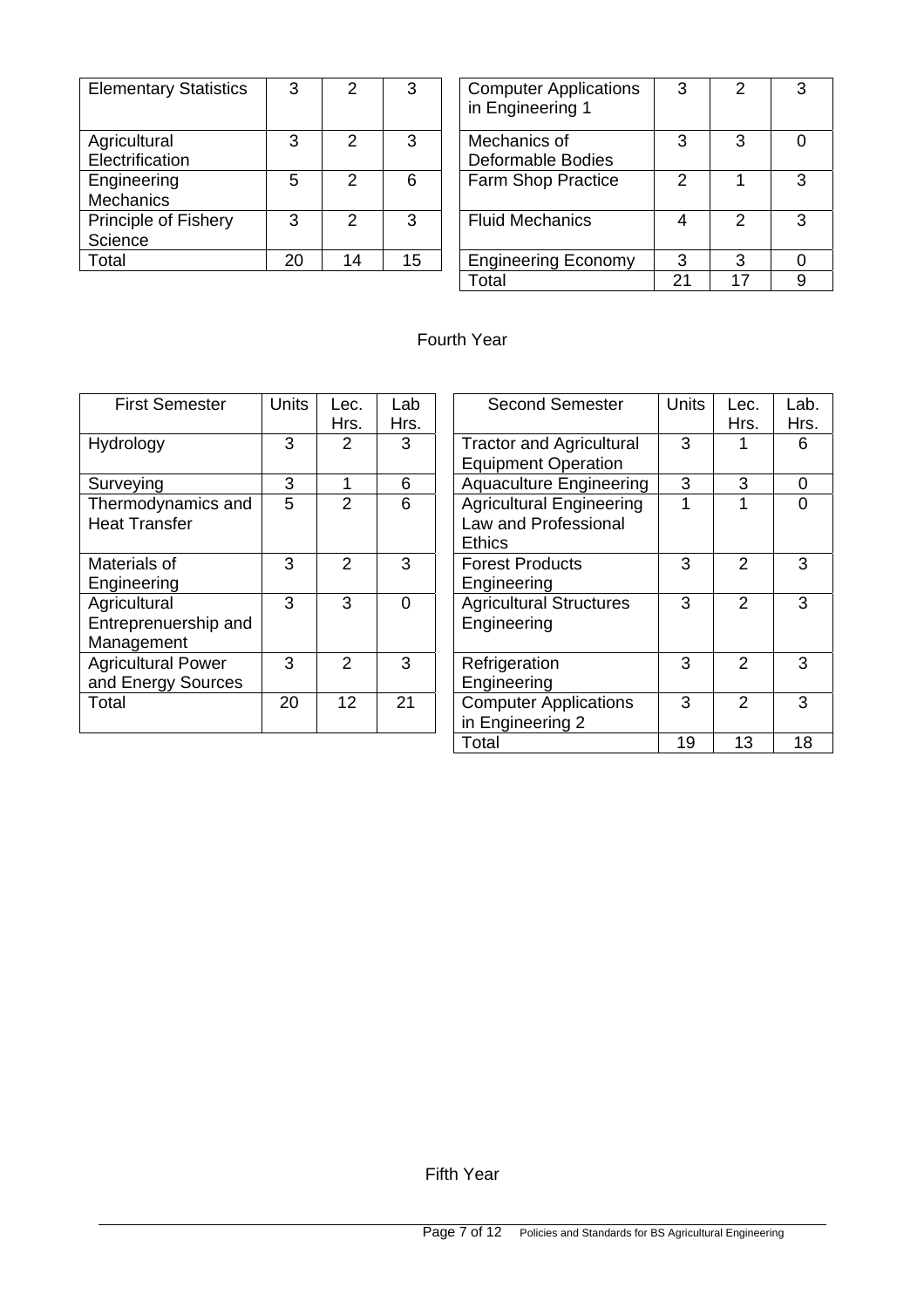| <b>Elementary Statistics</b>    | 3  | $\mathcal{P}$ | 3  | <b>Computer Applications</b><br>in Engineering 1 | 3 | $\mathcal{P}$ | 3 |
|---------------------------------|----|---------------|----|--------------------------------------------------|---|---------------|---|
| Agricultural<br>Electrification | 3  | $\mathcal{P}$ | 3  | Mechanics of<br><b>Deformable Bodies</b>         | 3 | 3             | 0 |
| Engineering<br><b>Mechanics</b> | 5  | $\mathcal{P}$ | 6  | <b>Farm Shop Practice</b>                        | っ |               | 3 |
| Principle of Fishery<br>Science | 3  | $\mathcal{P}$ | 3  | <b>Fluid Mechanics</b>                           | 4 | $\mathcal{P}$ | 3 |
| Total                           | 20 | 14            | 15 | <b>Engineering Economy</b>                       | 3 | 3             |   |

| 3  | 2             | 3  | <b>Computer Applications</b><br>in Engineering 1 | 3 | 2 | 3 |
|----|---------------|----|--------------------------------------------------|---|---|---|
| 3  | $\mathcal{P}$ | 3  | Mechanics of<br><b>Deformable Bodies</b>         | 3 | 3 |   |
| 5  | $\mathcal{P}$ | 6  | Farm Shop Practice                               | 2 |   | 3 |
| 3  | 2             | 3  | <b>Fluid Mechanics</b>                           |   | 2 | З |
| 20 | 14            | 15 | <b>Engineering Economy</b>                       | 3 | 3 |   |
|    |               |    | ctal                                             | っ |   | 9 |

# Fourth Year

| <b>First Semester</b>     | <b>Units</b> | Lec.            | Lab      | <b>Second Semester</b>          | <b>Units</b> | Lec.          | Lal      |
|---------------------------|--------------|-----------------|----------|---------------------------------|--------------|---------------|----------|
|                           |              | Hrs.            | Hrs.     |                                 |              | Hrs.          | Нr       |
| Hydrology                 | 3            | $\overline{2}$  | 3        | <b>Tractor and Agricultural</b> | 3            |               | 6        |
|                           |              |                 |          | <b>Equipment Operation</b>      |              |               |          |
| Surveying                 | 3            | 1               | 6        | <b>Aquaculture Engineering</b>  | 3            | 3             | 0        |
| Thermodynamics and        | 5            | 2               | 6        | <b>Agricultural Engineering</b> | 1            |               | $\Omega$ |
| <b>Heat Transfer</b>      |              |                 |          | Law and Professional            |              |               |          |
|                           |              |                 |          | <b>Ethics</b>                   |              |               |          |
| Materials of              | 3            | $\mathfrak{p}$  | 3        | <b>Forest Products</b>          | 3            | 2             | 3        |
| Engineering               |              |                 |          | Engineering                     |              |               |          |
| Agricultural              | 3            | 3               | $\Omega$ | <b>Agricultural Structures</b>  | 3            | 2             | 3        |
| Entreprenuership and      |              |                 |          | Engineering                     |              |               |          |
| Management                |              |                 |          |                                 |              |               |          |
| <b>Agricultural Power</b> | 3            | $\mathcal{P}$   | 3        | Refrigeration                   | 3            | $\mathcal{P}$ | 3        |
| and Energy Sources        |              |                 |          | Engineering                     |              |               |          |
| Total                     | 20           | 12 <sup>2</sup> | 21       | <b>Computer Applications</b>    | 3            | 2             | 3        |
|                           |              |                 |          | in Engineering 2                |              |               |          |
|                           |              |                 |          |                                 |              |               |          |

| $n$ its         | Lec.           | Lab  | <b>Second Semester</b>                                                   | <b>Units</b> | Lec.           | Lab. |
|-----------------|----------------|------|--------------------------------------------------------------------------|--------------|----------------|------|
|                 | Hrs.           | Hrs. |                                                                          |              | Hrs.           | Hrs. |
| $\overline{3}$  | $\overline{2}$ | 3    | <b>Tractor and Agricultural</b>                                          | 3            |                | 6    |
|                 |                |      | <b>Equipment Operation</b>                                               |              |                |      |
| $\frac{3}{5}$   | 1              | 6    | <b>Aquaculture Engineering</b>                                           | 3            | 3              | 0    |
|                 | $\overline{2}$ | 6    | <b>Agricultural Engineering</b><br>Law and Professional<br><b>Ethics</b> |              | 1              | 0    |
| $\overline{3}$  | 2              | 3    | <b>Forest Products</b><br>Engineering                                    | 3            | $\overline{2}$ | 3    |
| $\overline{3}$  | 3              | 0    | <b>Agricultural Structures</b><br>Engineering                            | 3            | 2              | 3    |
| $\overline{3}$  | $\mathcal{P}$  | 3    | Refrigeration<br>Engineering                                             | 3            | $\mathcal{P}$  | 3    |
| $\overline{20}$ | 12             | 21   | <b>Computer Applications</b><br>in Engineering 2                         | 3            | $\mathcal{P}$  | 3    |
|                 |                |      | Total                                                                    | 19           | 13             | 18   |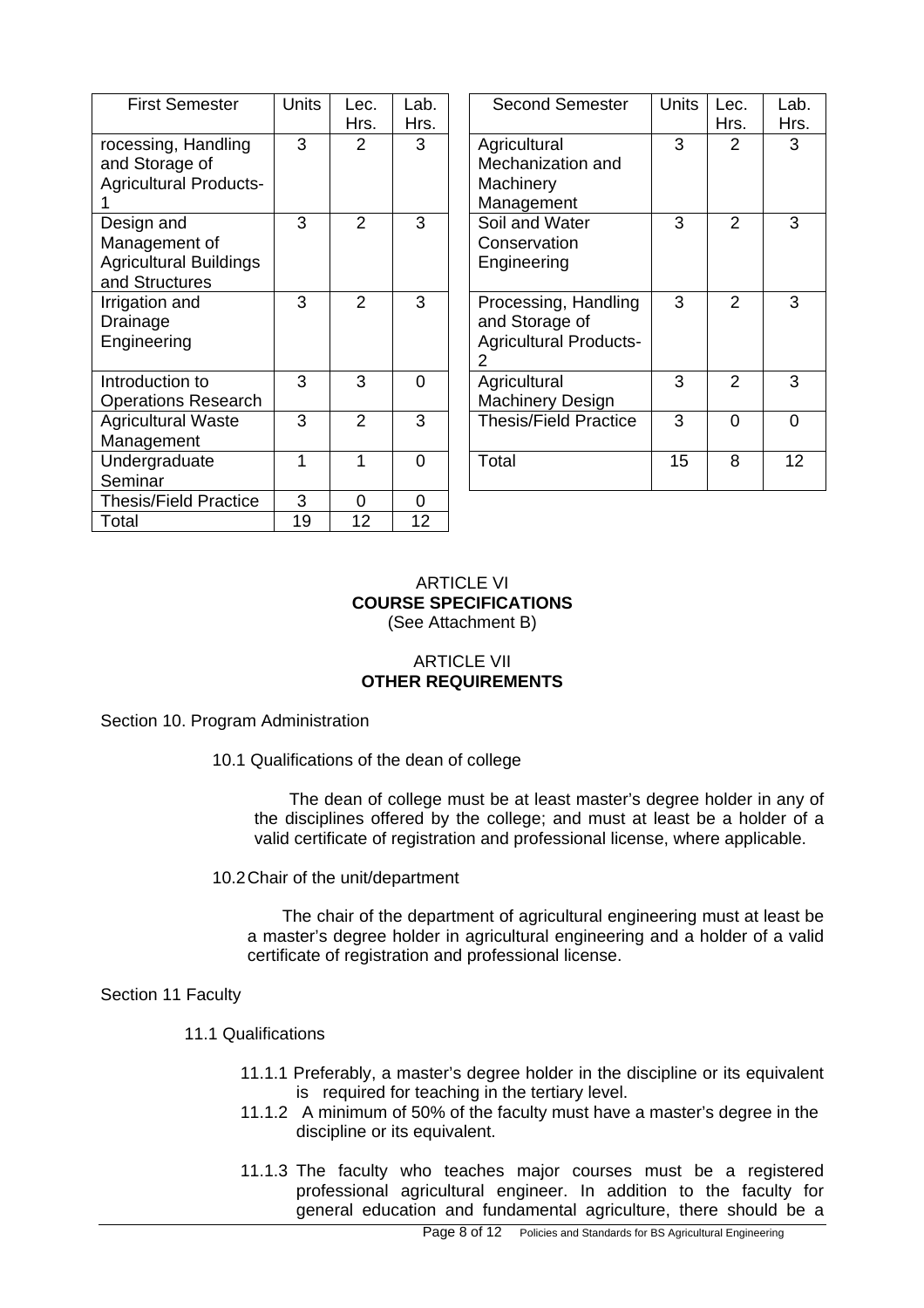| <b>First Semester</b>                                                          | <b>Units</b> | Lec.           | Lab. | Second Seme                                                      |
|--------------------------------------------------------------------------------|--------------|----------------|------|------------------------------------------------------------------|
|                                                                                |              | Hrs.           | Hrs. |                                                                  |
| rocessing, Handling<br>and Storage of<br><b>Agricultural Products-</b>         | 3            | 2              | 3    | Agricultural<br>Mechanization a<br>Machinery<br>Management       |
| Design and<br>Management of<br><b>Agricultural Buildings</b><br>and Structures | 3            | $\overline{2}$ | 3    | Soil and Water<br>Conservation<br>Engineering                    |
| Irrigation and<br>Drainage<br>Engineering                                      | 3            | $\overline{2}$ | 3    | Processing, Ha<br>and Storage of<br><b>Agricultural Pro</b><br>2 |
| Introduction to<br><b>Operations Research</b>                                  | 3            | 3              | 0    | Agricultural<br><b>Machinery Desi</b>                            |
| <b>Agricultural Waste</b><br>Management                                        | 3            | $\overline{2}$ | 3    | Thesis/Field Pra                                                 |
| Undergraduate<br>Seminar                                                       | 1            | 1              | 0    | Total                                                            |
| <b>Thesis/Field Practice</b>                                                   | 3            | 0              | 0    |                                                                  |
| Total                                                                          | 19           | 12             | 12   |                                                                  |
|                                                                                |              |                |      |                                                                  |

| nits           | Lec.<br>Hrs.   | Lab.<br>Hrs. | <b>Second Semester</b>                                                       | <b>Units</b> | Lec.<br>Hrs.   | Lab.<br>Hrs. |
|----------------|----------------|--------------|------------------------------------------------------------------------------|--------------|----------------|--------------|
| $\overline{3}$ | $\overline{2}$ | 3            | Agricultural<br>Mechanization and<br>Machinery<br>Management                 | 3            | $\overline{2}$ | 3            |
| $\overline{3}$ | $\overline{2}$ | 3            | Soil and Water<br>Conservation<br>Engineering                                | 3            | $\overline{2}$ | 3            |
| $\overline{3}$ | $\overline{2}$ | 3            | Processing, Handling<br>and Storage of<br><b>Agricultural Products-</b><br>2 | 3            | $\overline{2}$ | 3            |
| $\overline{3}$ | 3              | 0            | Agricultural<br>Machinery Design                                             | 3            | $\overline{2}$ | 3            |
| $\overline{3}$ | $\overline{2}$ | 3            | <b>Thesis/Field Practice</b>                                                 | 3            | $\Omega$       | 0            |
| $\overline{1}$ | 1              | $\Omega$     | Total                                                                        | 15           | 8              | 12           |
|                |                |              |                                                                              |              |                |              |

#### ARTICLE VI **COURSE SPECIFICATIONS**  (See Attachment B)

## ARTICLE VII **OTHER REQUIREMENTS**

Section 10. Program Administration

10.1 Qualifications of the dean of college

The dean of college must be at least master's degree holder in any of the disciplines offered by the college; and must at least be a holder of a valid certificate of registration and professional license, where applicable.

10.2 Chair of the unit/department

The chair of the department of agricultural engineering must at least be a master's degree holder in agricultural engineering and a holder of a valid certificate of registration and professional license.

Section 11 Faculty

## 11.1 Qualifications

- 11.1.1 Preferably, a master's degree holder in the discipline or its equivalent is required for teaching in the tertiary level.
- 11.1.2 A minimum of 50% of the faculty must have a master's degree in the discipline or its equivalent.
- 11.1.3 The faculty who teaches major courses must be a registered professional agricultural engineer. In addition to the faculty for general education and fundamental agriculture, there should be a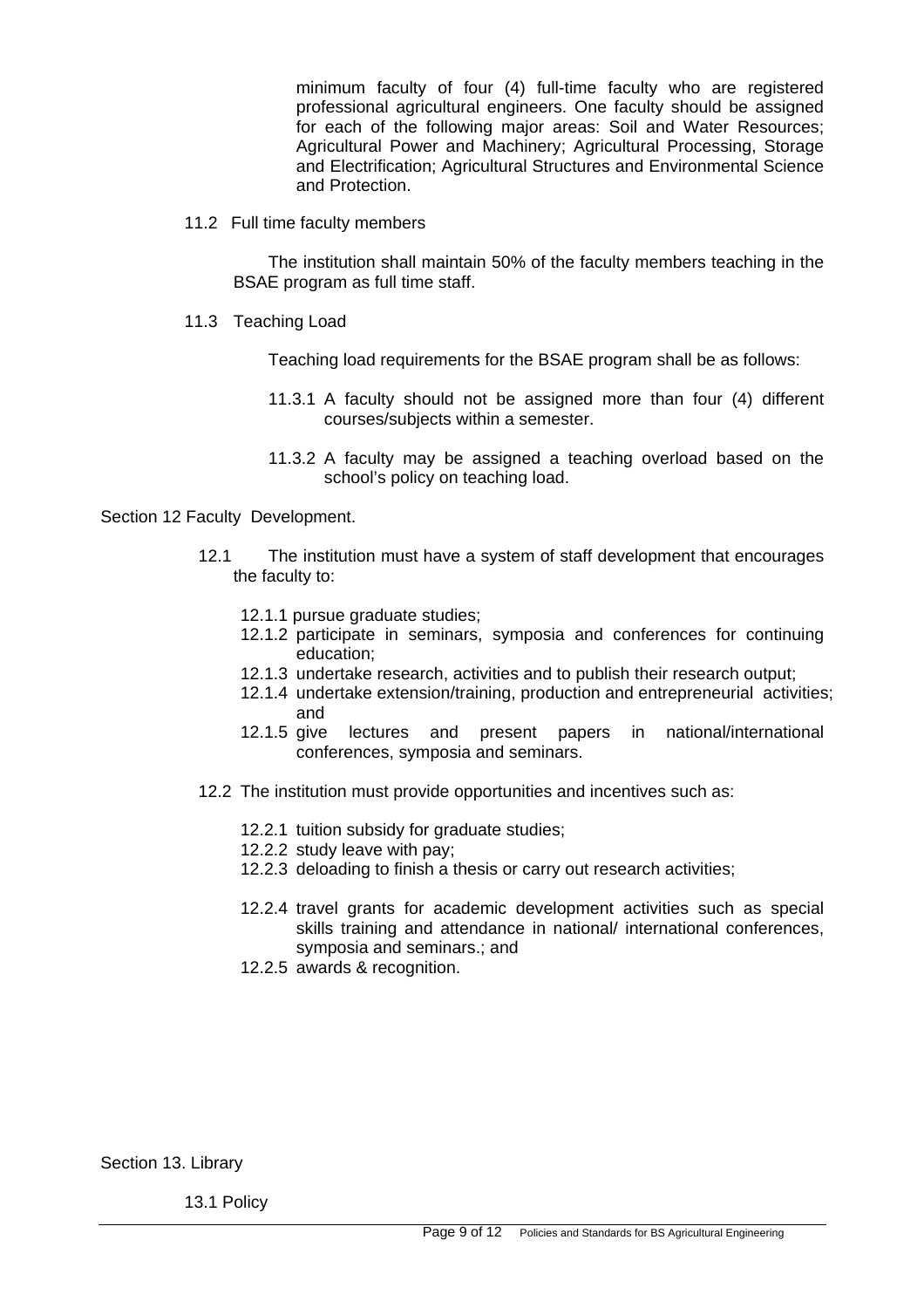minimum faculty of four (4) full-time faculty who are registered professional agricultural engineers. One faculty should be assigned for each of the following major areas: Soil and Water Resources; Agricultural Power and Machinery; Agricultural Processing, Storage and Electrification; Agricultural Structures and Environmental Science and Protection.

11.2 Full time faculty members

The institution shall maintain 50% of the faculty members teaching in the BSAE program as full time staff.

11.3 Teaching Load

Teaching load requirements for the BSAE program shall be as follows:

- 11.3.1 A faculty should not be assigned more than four (4) different courses/subjects within a semester.
- 11.3.2 A faculty may be assigned a teaching overload based on the school's policy on teaching load.

Section 12 Faculty Development.

- 12.1 The institution must have a system of staff development that encourages the faculty to:
	- 12.1.1 pursue graduate studies;
	- 12.1.2 participate in seminars, symposia and conferences for continuing education;
	- 12.1.3 undertake research, activities and to publish their research output;
	- 12.1.4 undertake extension/training, production and entrepreneurial activities; and
	- 12.1.5 give lectures and present papers in national/international conferences, symposia and seminars.
- 12.2 The institution must provide opportunities and incentives such as:
	- 12.2.1 tuition subsidy for graduate studies;
	- 12.2.2 study leave with pay;
	- 12.2.3 deloading to finish a thesis or carry out research activities;
	- 12.2.4 travel grants for academic development activities such as special skills training and attendance in national/ international conferences, symposia and seminars.; and
	- 12.2.5 awards & recognition.

Section 13. Library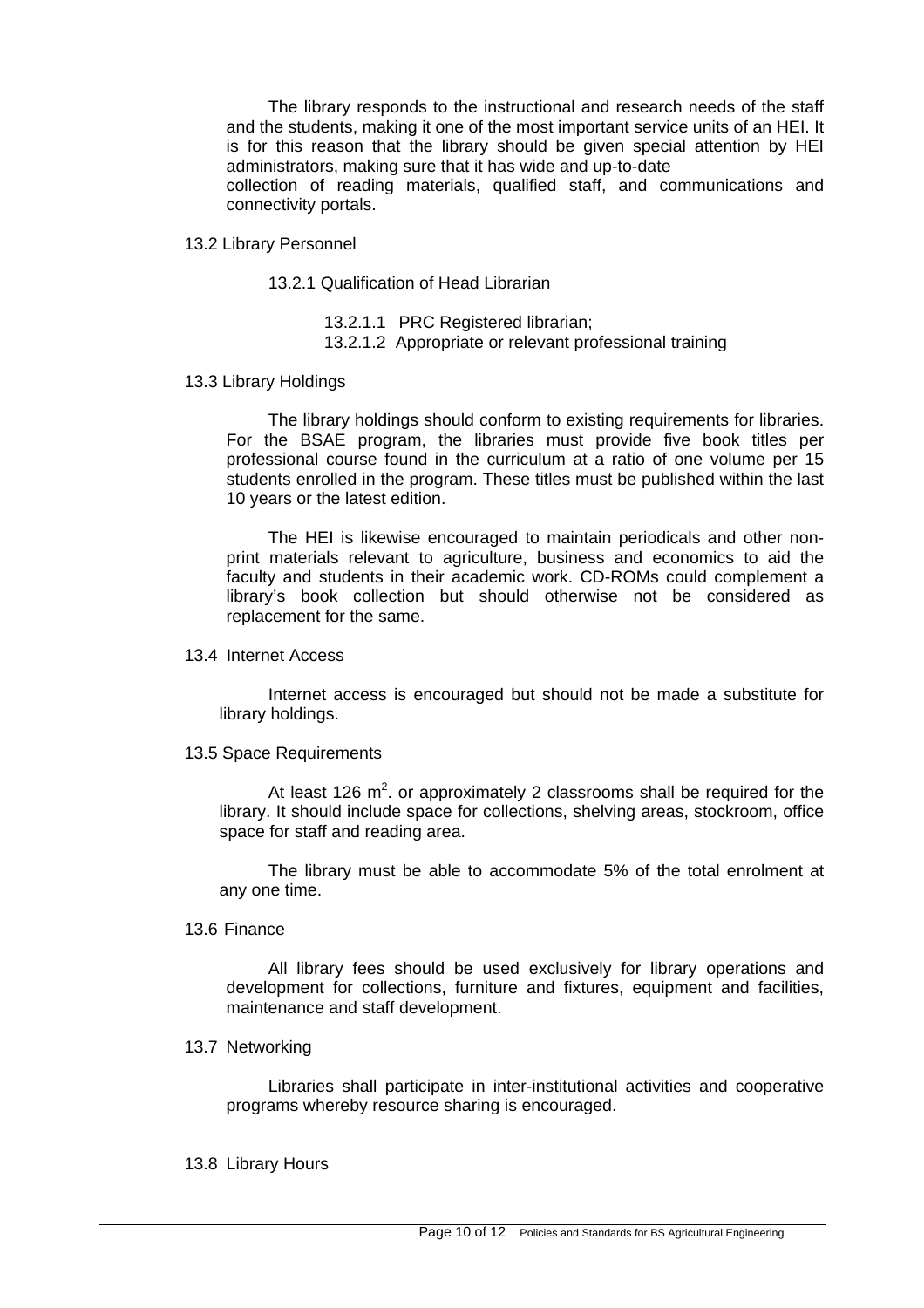The library responds to the instructional and research needs of the staff and the students, making it one of the most important service units of an HEI. It is for this reason that the library should be given special attention by HEI administrators, making sure that it has wide and up-to-date collection of reading materials, qualified staff, and communications and connectivity portals.

13.2 Library Personnel

13.2.1 Qualification of Head Librarian

13.2.1.1 PRC Registered librarian;

13.2.1.2 Appropriate or relevant professional training

13.3 Library Holdings

The library holdings should conform to existing requirements for libraries. For the BSAE program, the libraries must provide five book titles per professional course found in the curriculum at a ratio of one volume per 15 students enrolled in the program. These titles must be published within the last 10 years or the latest edition.

The HEI is likewise encouraged to maintain periodicals and other nonprint materials relevant to agriculture, business and economics to aid the faculty and students in their academic work. CD-ROMs could complement a library's book collection but should otherwise not be considered as replacement for the same.

13.4 Internet Access

Internet access is encouraged but should not be made a substitute for library holdings.

13.5 Space Requirements

At least 126  $m^2$ . or approximately 2 classrooms shall be required for the library. It should include space for collections, shelving areas, stockroom, office space for staff and reading area.

The library must be able to accommodate 5% of the total enrolment at any one time.

13.6 Finance

All library fees should be used exclusively for library operations and development for collections, furniture and fixtures, equipment and facilities, maintenance and staff development.

#### 13.7 Networking

Libraries shall participate in inter-institutional activities and cooperative programs whereby resource sharing is encouraged.

#### 13.8 Library Hours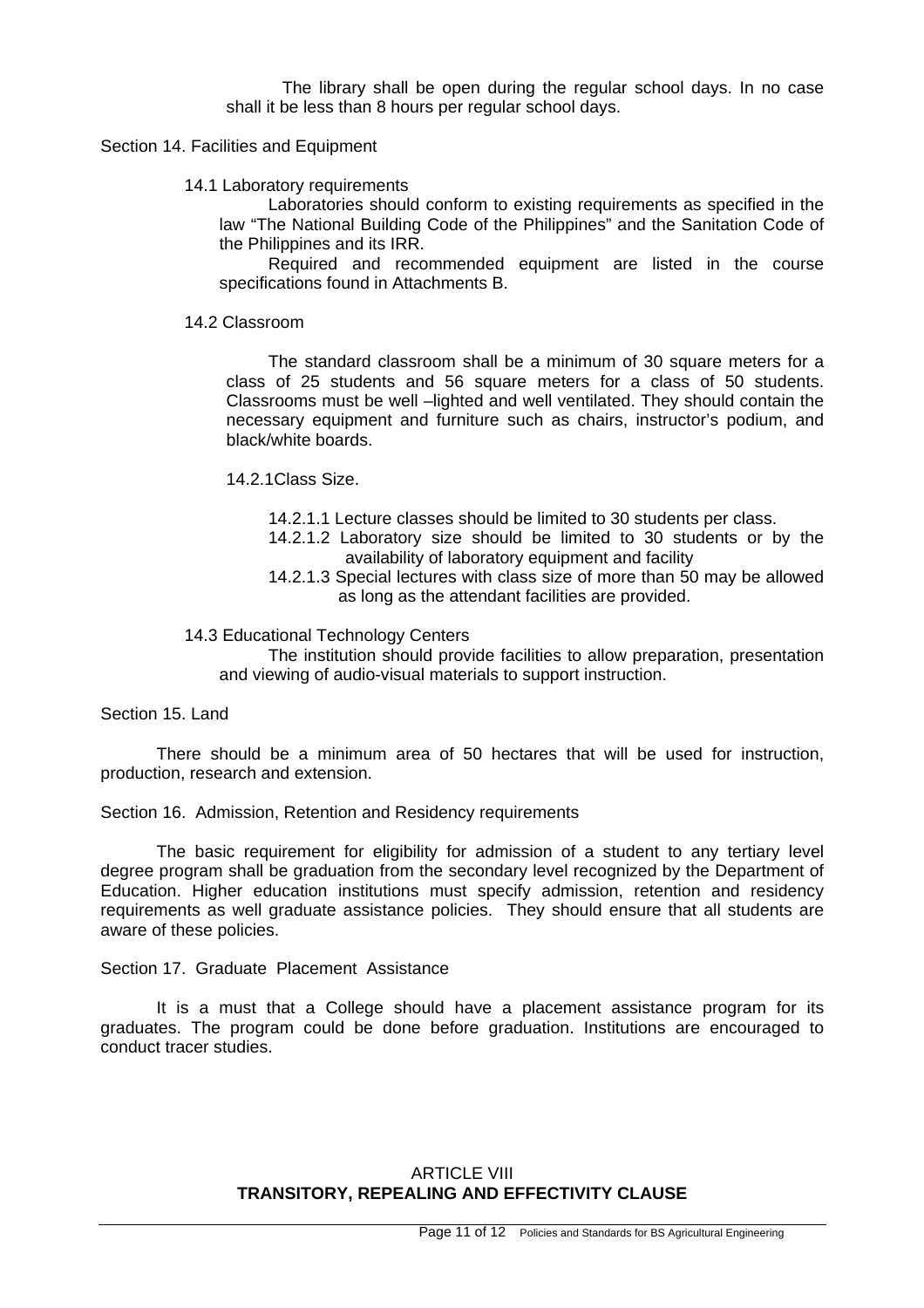The library shall be open during the regular school days. In no case shall it be less than 8 hours per regular school days.

#### Section 14. Facilities and Equipment

#### 14.1 Laboratory requirements

Laboratories should conform to existing requirements as specified in the law "The National Building Code of the Philippines" and the Sanitation Code of the Philippines and its IRR.

Required and recommended equipment are listed in the course specifications found in Attachments B.

#### 14.2 Classroom

The standard classroom shall be a minimum of 30 square meters for a class of 25 students and 56 square meters for a class of 50 students. Classrooms must be well –lighted and well ventilated. They should contain the necessary equipment and furniture such as chairs, instructor's podium, and black/white boards.

14.2.1Class Size.

- 14.2.1.1 Lecture classes should be limited to 30 students per class.
- 14.2.1.2 Laboratory size should be limited to 30 students or by the availability of laboratory equipment and facility
- 14.2.1.3 Special lectures with class size of more than 50 may be allowed as long as the attendant facilities are provided.

#### 14.3 Educational Technology Centers

The institution should provide facilities to allow preparation, presentation and viewing of audio-visual materials to support instruction.

Section 15. Land

There should be a minimum area of 50 hectares that will be used for instruction, production, research and extension.

Section 16. Admission, Retention and Residency requirements

The basic requirement for eligibility for admission of a student to any tertiary level degree program shall be graduation from the secondary level recognized by the Department of Education. Higher education institutions must specify admission, retention and residency requirements as well graduate assistance policies. They should ensure that all students are aware of these policies.

Section 17. Graduate Placement Assistance

It is a must that a College should have a placement assistance program for its graduates. The program could be done before graduation. Institutions are encouraged to conduct tracer studies.

## ARTICLE VIII **TRANSITORY, REPEALING AND EFFECTIVITY CLAUSE**